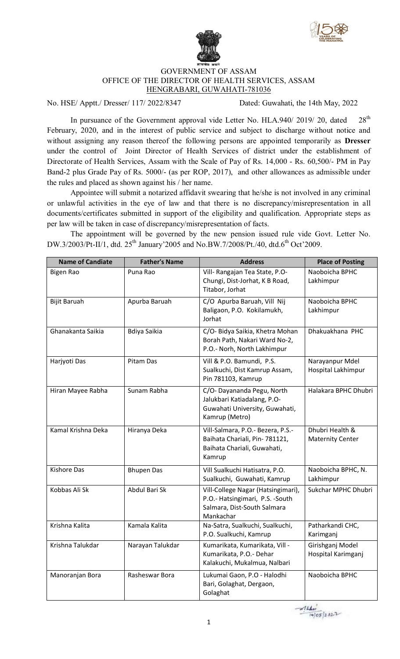



## GOVERNMENT OF ASSAM OFFICE OF THE DIRECTOR OF HEALTH SERVICES, ASSAM HENGRABARI, GUWAHATI-781036

No. HSE/ Apptt./ Dresser/ 117/ 2022/8347 Dated: Guwahati, the 14th May, 2022

In pursuance of the Government approval vide Letter No. HLA.940/ 2019/ 20, dated  $28<sup>th</sup>$ February, 2020, and in the interest of public service and subject to discharge without notice and without assigning any reason thereof the following persons are appointed temporarily as **Dresser** under the control of Joint Director of Health Services of district under the establishment of Directorate of Health Services, Assam with the Scale of Pay of Rs. 14,000 - Rs. 60,500/- PM in Pay Band-2 plus Grade Pay of Rs. 5000/- (as per ROP, 2017), and other allowances as admissible under the rules and placed as shown against his / her name.

Appointee will submit a notarized affidavit swearing that he/she is not involved in any criminal or unlawful activities in the eye of law and that there is no discrepancy/misrepresentation in all documents/certificates submitted in support of the eligibility and qualification. Appropriate steps as per law will be taken in case of discrepancy/misrepresentation of facts.

The appointment will be governed by the new pension issued rule vide Govt. Letter No. DW.3/2003/Pt-II/1, dtd. 25<sup>th</sup> January'2005 and No.BW.7/2008/Pt./40, dtd.6<sup>th</sup> Oct'2009.

| <b>Name of Candiate</b> | <b>Father's Name</b> | <b>Address</b>                                                                                                     | <b>Place of Posting</b>                    |
|-------------------------|----------------------|--------------------------------------------------------------------------------------------------------------------|--------------------------------------------|
| <b>Bigen Rao</b>        | Puna Rao             | Vill- Rangajan Tea State, P.O-<br>Chungi, Dist-Jorhat, K B Road,<br>Titabor, Jorhat                                | Naoboicha BPHC<br>Lakhimpur                |
| <b>Bijit Baruah</b>     | Apurba Baruah        | C/O Apurba Baruah, Vill Nij<br>Baligaon, P.O. Kokilamukh,<br>Jorhat                                                | Naoboicha BPHC<br>Lakhimpur                |
| Ghanakanta Saikia       | Bdiya Saikia         | C/O- Bidya Saikia, Khetra Mohan<br>Borah Path, Nakari Ward No-2,<br>P.O.- Norh, North Lakhimpur                    | Dhakuakhana PHC                            |
| Harjyoti Das            | Pitam Das            | Vill & P.O. Bamundi, P.S.<br>Sualkuchi, Dist Kamrup Assam,<br>Pin 781103, Kamrup                                   | Narayanpur Mdel<br>Hospital Lakhimpur      |
| Hiran Mayee Rabha       | Sunam Rabha          | C/O- Dayananda Pegu, North<br>Jalukbari Katiadalang, P.O-<br>Guwahati University, Guwahati,<br>Kamrup (Metro)      | Halakara BPHC Dhubri                       |
| Kamal Krishna Deka      | Hiranya Deka         | Vill-Salmara, P.O.- Bezera, P.S.-<br>Baihata Chariali, Pin- 781121,<br>Baihata Chariali, Guwahati,<br>Kamrup       | Dhubri Health &<br><b>Maternity Center</b> |
| <b>Kishore Das</b>      | <b>Bhupen Das</b>    | Vill Sualkuchi Hatisatra, P.O.<br>Sualkuchi, Guwahati, Kamrup                                                      | Naoboicha BPHC, N.<br>Lakhimpur            |
| Kobbas Ali Sk           | Abdul Bari Sk        | Vill-College Nagar (Hatsingimari),<br>P.O.- Hatsingimari, P.S. - South<br>Salmara, Dist-South Salmara<br>Mankachar | Sukchar MPHC Dhubri                        |
| Krishna Kalita          | Kamala Kalita        | Na-Satra, Sualkuchi, Sualkuchi,<br>P.O. Sualkuchi, Kamrup                                                          | Patharkandi CHC,<br>Karimganj              |
| Krishna Talukdar        | Narayan Talukdar     | Kumarikata, Kumarikata, Vill -<br>Kumarikata, P.O.- Dehar<br>Kalakuchi, Mukalmua, Nalbari                          | Girishganj Model<br>Hospital Karimganj     |
| Manoranjan Bora         | Rasheswar Bora       | Lukumai Gaon, P.O - Halodhi<br>Bari, Golaghat, Dergaon,<br>Golaghat                                                | Naoboicha BPHC                             |

 $214$  $14/05/2022$